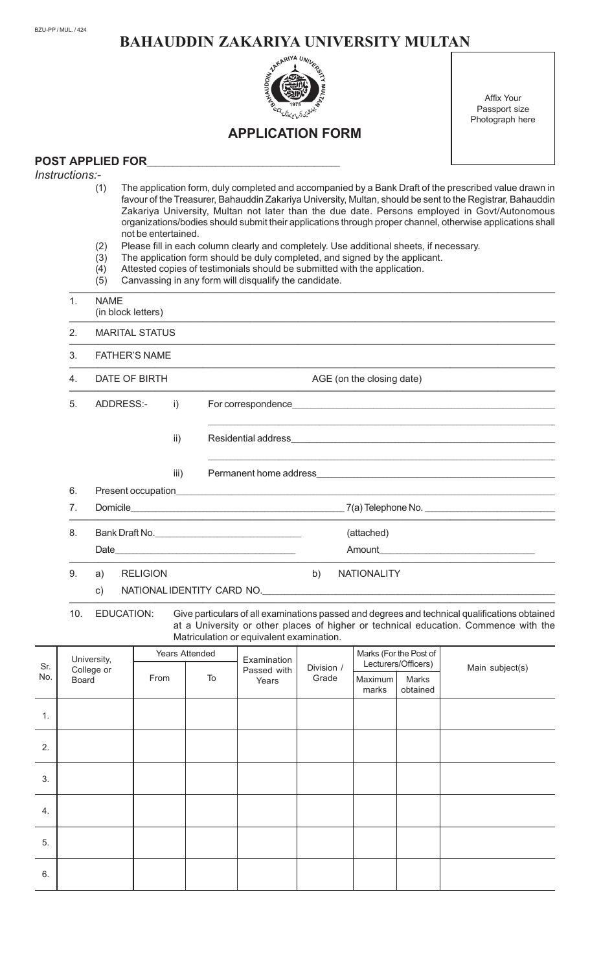# BZU-PP/MUL./424<br>**BAHAUDDIN ZAKARIYA UNIVERSITY MULTAN**



Affix Your Passport size Photograph here

# **APPLICATION FORM**

POST APPLIED FOR

*Instructions:-*

- (1) The application form, duly completed and accompanied by a Bank Draft of the prescribed value drawn in favour of the Treasurer, Bahauddin Zakariya University, Multan, should be sent to the Registrar, Bahauddin Zakariya University, Multan not later than the due date. Persons employed in Govt/Autonomous organizations/bodies should submit their applications through proper channel, otherwise applications shall not be entertained.
- (2) Please fill in each column clearly and completely. Use additional sheets, if necessary.
- (3) The application form should be duly completed, and signed by the applicant.
- (4) Attested copies of testimonials should be submitted with the application.
- (5) Canvassing in any form will disqualify the candidate.

 $\mathcal{L}=\{1,\ldots,n\}$  , we can consider the constant of  $\mathcal{L}=\{1,\ldots,n\}$ 1. NAME

(in block letters) ———————————————————————————————————————————————————

2. MARITAL STATUS

 $\mathcal{L}=\{1,2,3,4\}$  , we can consider the constant of  $\mathcal{L}=\{1,3,4\}$ 3. FATHER'S NAME

 $\mathcal{L}=\{1,2,3,4\}$  , we can consider the constant of  $\mathcal{L}=\{1,3,4\}$ 4. DATE OF BIRTH AGE (on the closing date)

 $\mathcal{L}=\{1,2,3,4\}$  , we can consider the constant of  $\mathcal{L}=\{1,3,4\}$ 5. ADDRESS:- i) For correspondence

ii) Residential address

iii) Permanent home address

6. Present occupation\_

7. Domicile\_\_\_\_\_\_\_\_\_\_\_\_\_\_\_\_\_\_\_\_\_\_\_\_\_\_\_\_\_\_\_\_\_\_\_\_\_\_\_\_\_\_\_\_\_\_\_\_\_\_\_\_\_\_\_\_\_\_\_ 7(a) Telephone No. \_\_\_\_\_\_\_\_\_\_\_\_\_\_\_\_\_\_\_\_\_\_\_\_\_\_\_\_\_\_\_\_\_\_\_\_  $\mathcal{L}=\{1,2,3,4\}$  , we can consider the constant of  $\mathcal{L}=\{1,3,4\}$ 

- 8. Bank Draft No.\_\_\_\_\_\_\_\_\_\_\_\_\_\_\_\_\_\_\_\_\_\_\_\_\_\_\_\_\_\_\_\_\_\_\_\_\_\_\_\_ (attached) Date\_\_\_\_\_\_\_\_\_\_\_\_\_\_\_\_\_\_\_\_\_\_\_\_\_\_\_\_\_\_\_\_\_\_\_\_\_\_\_\_\_\_\_\_\_\_\_\_\_\_ Amount\_\_\_\_\_\_\_\_\_\_\_\_\_\_\_\_\_\_\_\_\_\_\_\_\_\_\_\_\_\_\_\_\_\_\_\_\_\_\_\_\_\_\_ ———————————————————————————————————————————————————
- 9. a) RELIGION b) NATIONALITY

c) NATIONAL IDENTITY CARD NO.

——————————————————————————————————————————————————— 10. EDUCATION: Give particulars of all examinations passed and degrees and technical qualifications obtained at a University or other places of higher or technical education. Commence with the Matriculation or equivalent examination.

|            | University,         |      | Years Attended                      | Examination |                  | Marks (For the Post of<br>Lecturers/Officers) |  | Main subject(s) |
|------------|---------------------|------|-------------------------------------|-------------|------------------|-----------------------------------------------|--|-----------------|
| Sr.<br>No. | College or<br>Board | From | Passed with<br>To<br>Grade<br>Years | Division /  | Maximum<br>marks | Marks<br>obtained                             |  |                 |
| 1.         |                     |      |                                     |             |                  |                                               |  |                 |
| 2.         |                     |      |                                     |             |                  |                                               |  |                 |
| 3.         |                     |      |                                     |             |                  |                                               |  |                 |
| 4.         |                     |      |                                     |             |                  |                                               |  |                 |
| 5.         |                     |      |                                     |             |                  |                                               |  |                 |
| 6.         |                     |      |                                     |             |                  |                                               |  |                 |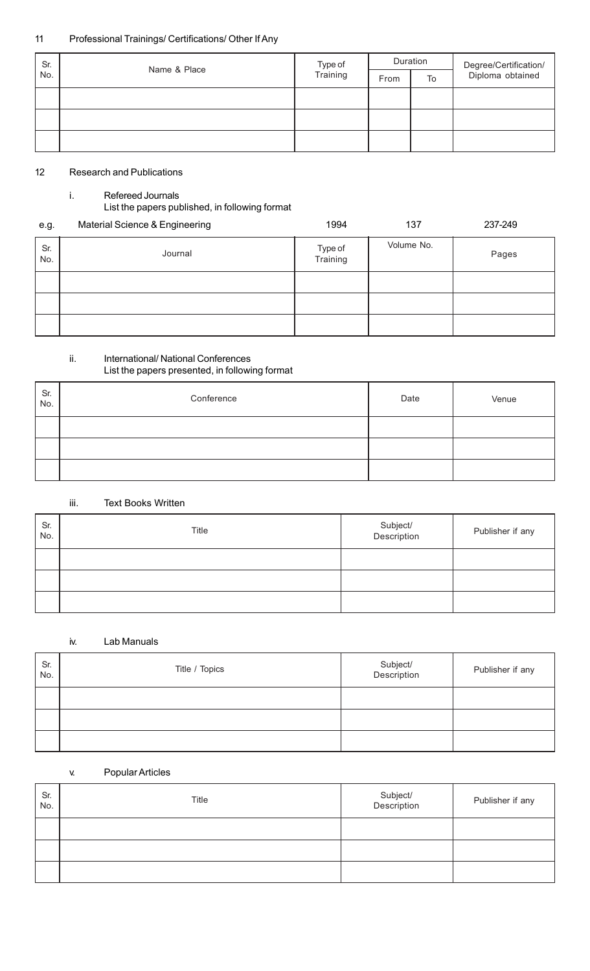## 11 Professional Trainings/ Certifications/ Other If Any

| Sr. | Name & Place | Type of<br>Training | Duration |    |                                           |
|-----|--------------|---------------------|----------|----|-------------------------------------------|
| No. |              |                     | From     | To | Degree/Certification/<br>Diploma obtained |
|     |              |                     |          |    |                                           |
|     |              |                     |          |    |                                           |
|     |              |                     |          |    |                                           |
|     |              |                     |          |    |                                           |

### 12 Research and Publications

# i. Refereed Journals List the papers published, in following format

| e.g.       | Material Science & Engineering | 1994                | 137        | 237-249 |
|------------|--------------------------------|---------------------|------------|---------|
| Sr.<br>No. | Journal                        | Type of<br>Training | Volume No. | Pages   |
|            |                                |                     |            |         |
|            |                                |                     |            |         |
|            |                                |                     |            |         |

## ii. International/ National Conferences List the papers presented, in following format

| Sr.<br>No. | Conference | Date | Venue |
|------------|------------|------|-------|
|            |            |      |       |
|            |            |      |       |
|            |            |      |       |

# iii. Text Books Written

| Sr.<br>No. | Title | Subject/<br>Description | Publisher if any |
|------------|-------|-------------------------|------------------|
|            |       |                         |                  |
|            |       |                         |                  |
|            |       |                         |                  |

# iv. Lab Manuals

| Sr.<br>No. | Title / Topics | Subject/<br>Description | Publisher if any |
|------------|----------------|-------------------------|------------------|
|            |                |                         |                  |
|            |                |                         |                  |
|            |                |                         |                  |

# v. Popular Articles

| Sr.<br>No. | Title | Subject/<br>Description | Publisher if any |
|------------|-------|-------------------------|------------------|
|            |       |                         |                  |
|            |       |                         |                  |
|            |       |                         |                  |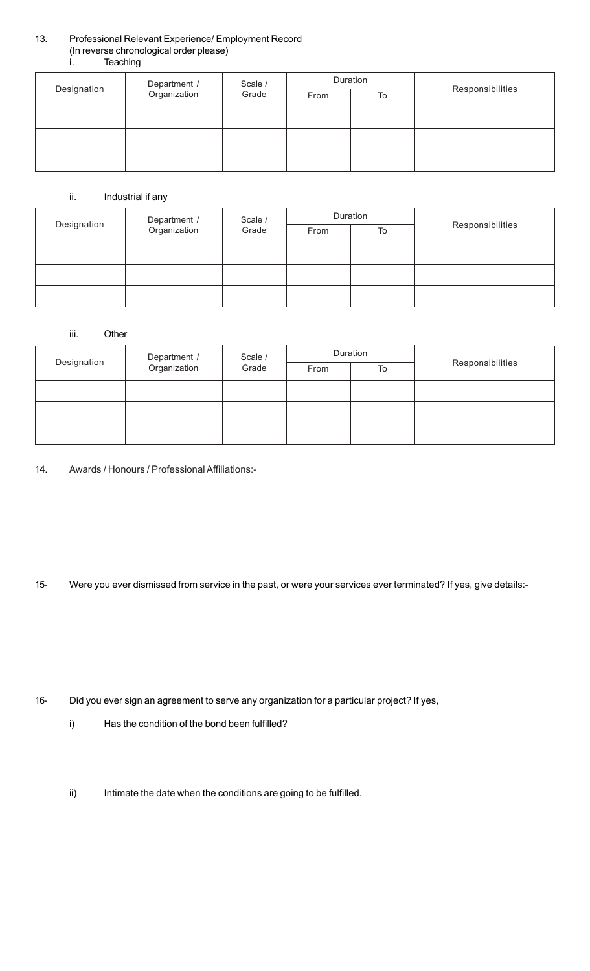## 13. Professional Relevant Experience/ Employment Record (In reverse chronological order please)

i. Teaching

|             |                              | Scale / | Duration |    |                  |
|-------------|------------------------------|---------|----------|----|------------------|
| Designation | Department /<br>Organization | Grade   | From     | To | Responsibilities |
|             |                              |         |          |    |                  |
|             |                              |         |          |    |                  |
|             |                              |         |          |    |                  |

### ii. Industrial if any

|             | Department /<br>Organization | Scale /<br>Grade |      | Duration | Responsibilities |
|-------------|------------------------------|------------------|------|----------|------------------|
| Designation |                              |                  | From | To       |                  |
|             |                              |                  |      |          |                  |
|             |                              |                  |      |          |                  |
|             |                              |                  |      |          |                  |

#### iii. Other

|             | Department /<br>Organization | Scale /<br>Grade | Duration |    |                  |
|-------------|------------------------------|------------------|----------|----|------------------|
| Designation |                              |                  | From     | To | Responsibilities |
|             |                              |                  |          |    |                  |
|             |                              |                  |          |    |                  |
|             |                              |                  |          |    |                  |

14. Awards / Honours / Professional Affiliations:-

15- Were you ever dismissed from service in the past, or were your services ever terminated? If yes, give details:-

16- Did you ever sign an agreement to serve any organization for a particular project? If yes,

i) Has the condition of the bond been fulfilled?

ii) Intimate the date when the conditions are going to be fulfilled.